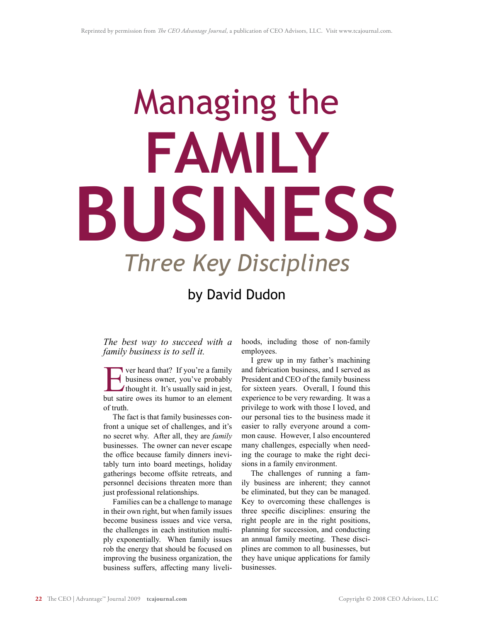# Managing the *Three Key Disciplines* **FAMILY BUSINESS**

# by David Dudon

*The best way to succeed with a family business is to sell it.* 

**EVALUATE:** Ver heard that? If you're a family<br>business owner, you've probably<br>thought it. It's usually said in jest,<br>but satire owes its humor to an element business owner, you've probably thought it. It's usually said in jest, but satire owes its humor to an element of truth.

The fact is that family businesses confront a unique set of challenges, and it's no secret why. After all, they are *family* businesses. The owner can never escape the office because family dinners inevitably turn into board meetings, holiday gatherings become offsite retreats, and personnel decisions threaten more than just professional relationships.

Families can be a challenge to manage in their own right, but when family issues become business issues and vice versa, the challenges in each institution multiply exponentially. When family issues rob the energy that should be focused on improving the business organization, the business suffers, affecting many livelihoods, including those of non-family employees.

I grew up in my father's machining and fabrication business, and I served as President and CEO of the family business for sixteen years. Overall, I found this experience to be very rewarding. It was a privilege to work with those I loved, and our personal ties to the business made it easier to rally everyone around a common cause. However, I also encountered many challenges, especially when needing the courage to make the right decisions in a family environment.

The challenges of running a family business are inherent; they cannot be eliminated, but they can be managed. Key to overcoming these challenges is three specific disciplines: ensuring the right people are in the right positions, planning for succession, and conducting an annual family meeting. These disciplines are common to all businesses, but they have unique applications for family businesses.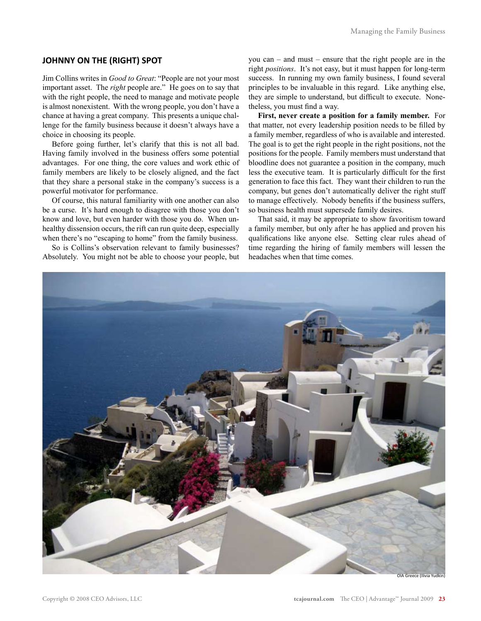## **JOHNNY ON THE (RIGHT) SPOT**

Jim Collins writes in *Good to Great*: "People are not your most important asset. The *right* people are." He goes on to say that with the right people, the need to manage and motivate people is almost nonexistent. With the wrong people, you don't have a chance at having a great company. This presents a unique challenge for the family business because it doesn't always have a choice in choosing its people.

Before going further, let's clarify that this is not all bad. Having family involved in the business offers some potential advantages. For one thing, the core values and work ethic of family members are likely to be closely aligned, and the fact that they share a personal stake in the company's success is a powerful motivator for performance.

Of course, this natural familiarity with one another can also be a curse. It's hard enough to disagree with those you don't know and love, but even harder with those you do. When unhealthy dissension occurs, the rift can run quite deep, especially when there's no "escaping to home" from the family business.

So is Collins's observation relevant to family businesses? Absolutely. You might not be able to choose your people, but you can – and must – ensure that the right people are in the right *positions*. It's not easy, but it must happen for long-term success. In running my own family business, I found several principles to be invaluable in this regard. Like anything else, they are simple to understand, but difficult to execute. Nonetheless, you must find a way.

**First, never create a position for a family member.** For that matter, not every leadership position needs to be filled by a family member, regardless of who is available and interested. The goal is to get the right people in the right positions, not the positions for the people. Family members must understand that bloodline does not guarantee a position in the company, much less the executive team. It is particularly difficult for the first generation to face this fact. They want their children to run the company, but genes don't automatically deliver the right stuff to manage effectively. Nobody benefits if the business suffers, so business health must supersede family desires.

That said, it may be appropriate to show favoritism toward a family member, but only after he has applied and proven his qualifications like anyone else. Setting clear rules ahead of time regarding the hiring of family members will lessen the headaches when that time comes.

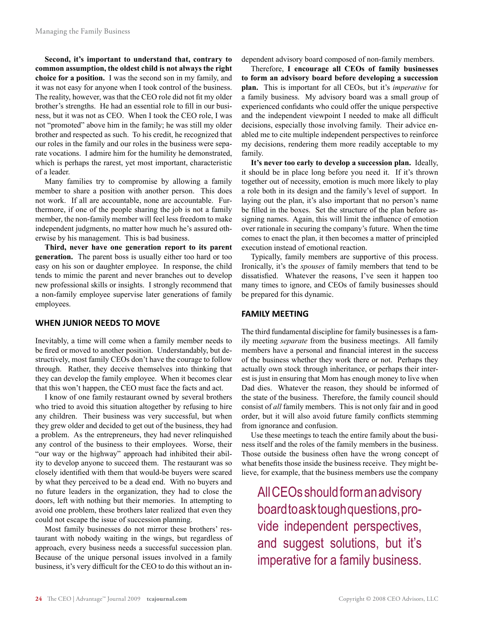**Second, it's important to understand that, contrary to common assumption, the oldest child is not always the right choice for a position.** I was the second son in my family, and it was not easy for anyone when I took control of the business. The reality, however, was that the CEO role did not fit my older brother's strengths. He had an essential role to fill in our business, but it was not as CEO. When I took the CEO role, I was not "promoted" above him in the family; he was still my older brother and respected as such. To his credit, he recognized that our roles in the family and our roles in the business were separate vocations. I admire him for the humility he demonstrated, which is perhaps the rarest, yet most important, characteristic of a leader.

Many families try to compromise by allowing a family member to share a position with another person. This does not work. If all are accountable, none are accountable. Furthermore, if one of the people sharing the job is not a family member, the non-family member will feel less freedom to make independent judgments, no matter how much he's assured otherwise by his management. This is bad business.

**Third, never have one generation report to its parent generation.** The parent boss is usually either too hard or too easy on his son or daughter employee. In response, the child tends to mimic the parent and never branches out to develop new professional skills or insights. I strongly recommend that a non-family employee supervise later generations of family employees.

### **WHEN JUNIOR NEEDS TO MOVE**

Inevitably, a time will come when a family member needs to be fired or moved to another position. Understandably, but destructively, most family CEOs don't have the courage to follow through. Rather, they deceive themselves into thinking that they can develop the family employee. When it becomes clear that this won't happen, the CEO must face the facts and act.

I know of one family restaurant owned by several brothers who tried to avoid this situation altogether by refusing to hire any children. Their business was very successful, but when they grew older and decided to get out of the business, they had a problem. As the entrepreneurs, they had never relinquished any control of the business to their employees. Worse, their "our way or the highway" approach had inhibited their ability to develop anyone to succeed them. The restaurant was so closely identified with them that would-be buyers were scared by what they perceived to be a dead end. With no buyers and no future leaders in the organization, they had to close the doors, left with nothing but their memories. In attempting to avoid one problem, these brothers later realized that even they could not escape the issue of succession planning.

Most family businesses do not mirror these brothers' restaurant with nobody waiting in the wings, but regardless of approach, every business needs a successful succession plan. Because of the unique personal issues involved in a family business, it's very difficult for the CEO to do this without an independent advisory board composed of non-family members.

Therefore, **I encourage all CEOs of family businesses to form an advisory board before developing a succession plan.** This is important for all CEOs, but it's *imperative* for a family business. My advisory board was a small group of experienced confidants who could offer the unique perspective and the independent viewpoint I needed to make all difficult decisions, especially those involving family. Their advice enabled me to cite multiple independent perspectives to reinforce my decisions, rendering them more readily acceptable to my family.

**It's never too early to develop a succession plan.** Ideally, it should be in place long before you need it. If it's thrown together out of necessity, emotion is much more likely to play a role both in its design and the family's level of support. In laying out the plan, it's also important that no person's name be filled in the boxes. Set the structure of the plan before assigning names. Again, this will limit the influence of emotion over rationale in securing the company's future. When the time comes to enact the plan, it then becomes a matter of principled execution instead of emotional reaction.

Typically, family members are supportive of this process. Ironically, it's the *spouses* of family members that tend to be dissatisfied. Whatever the reasons, I've seen it happen too many times to ignore, and CEOs of family businesses should be prepared for this dynamic.

#### **FAMILY MEETING**

The third fundamental discipline for family businesses is a family meeting *separate* from the business meetings. All family members have a personal and financial interest in the success of the business whether they work there or not.Perhaps they actually own stock through inheritance, or perhaps their interest is just in ensuring that Mom has enough money to live when Dad dies. Whatever the reason, they should be informed of the state of the business. Therefore, the family council should consist of *all* family members. This is not only fair and in good order, but it will also avoid future family conflicts stemming from ignorance and confusion.

Use these meetings to teach the entire family about the business itself and the roles of the family members in the business. Those outside the business often have the wrong concept of what benefits those inside the business receive. They might believe, for example, that the business members use the company

All CEOs should form an advisory board to ask tough questions, provide independent perspectives, and suggest solutions, but it's imperative for a family business.